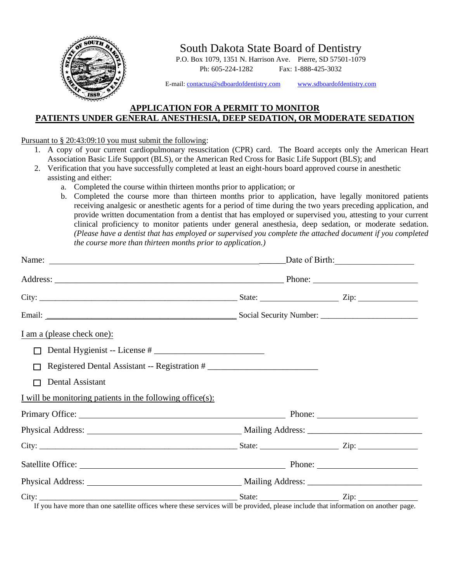

South Dakota State Board of Dentistry

P.O. Box 1079, 1351 N. Harrison Ave. Pierre, SD 57501-1079 Ph: 605-224-1282 Fax: 1-888-425-3032

E-mail[: contactus@sdboardofdentistry.com](mailto:contactus@sdboardofdentistry.com) [www.sdboardofdentistry.com](http://www.sdboardofdentistry.com/)

## **APPLICATION FOR A PERMIT TO MONITOR PATIENTS UNDER GENERAL ANESTHESIA, DEEP SEDATION, OR MODERATE SEDATION**

## Pursuant to § 20:43:09:10 you must submit the following:

- 1. A copy of your current cardiopulmonary resuscitation (CPR) card. The Board accepts only the American Heart Association Basic Life Support (BLS), or the American Red Cross for Basic Life Support (BLS); and
- 2. Verification that you have successfully completed at least an eight-hours board approved course in anesthetic assisting and either:
	- a. Completed the course within thirteen months prior to application; or
	- b. Completed the course more than thirteen months prior to application, have legally monitored patients receiving analgesic or anesthetic agents for a period of time during the two years preceding application, and provide written documentation from a dentist that has employed or supervised you, attesting to your current clinical proficiency to monitor patients under general anesthesia, deep sedation, or moderate sedation. *(Please have a dentist that has employed or supervised you complete the attached document if you completed the course more than thirteen months prior to application.)*

| I am a (please check one):                                    |  |  |  |
|---------------------------------------------------------------|--|--|--|
| $\Box$                                                        |  |  |  |
| Registered Dental Assistant -- Registration #<br>П            |  |  |  |
| Dental Assistant<br>П                                         |  |  |  |
| I will be monitoring patients in the following office $(s)$ : |  |  |  |
| Primary Office: Primary Office:                               |  |  |  |
|                                                               |  |  |  |
|                                                               |  |  |  |
| Satellite Office: Phone: Phone: Phone:                        |  |  |  |
|                                                               |  |  |  |
|                                                               |  |  |  |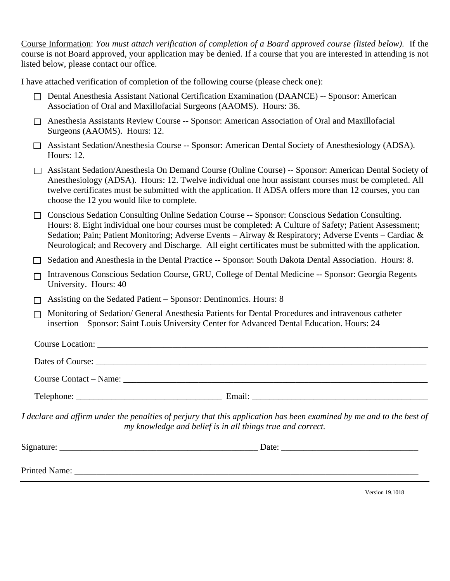Course Information: *You must attach verification of completion of a Board approved course (listed below).* If the course is not Board approved, your application may be denied. If a course that you are interested in attending is not listed below, please contact our office.

I have attached verification of completion of the following course (please check one):

- □ Dental Anesthesia Assistant National Certification Examination (DAANCE) -- Sponsor: American Association of Oral and Maxillofacial Surgeons (AAOMS). Hours: 36.
- ❑ Anesthesia Assistants Review Course -- Sponsor: American Association of Oral and Maxillofacial Surgeons (AAOMS). Hours: 12.
- ❑ Assistant Sedation/Anesthesia Course -- Sponsor: American Dental Society of Anesthesiology (ADSA). Hours: 12.
- ❑ Assistant Sedation/Anesthesia On Demand Course (Online Course) -- Sponsor: American Dental Society of Anesthesiology (ADSA). Hours: 12. Twelve individual one hour assistant courses must be completed. All twelve certificates must be submitted with the application. If ADSA offers more than 12 courses, you can choose the 12 you would like to complete.
- □ Conscious Sedation Consulting Online Sedation Course -- Sponsor: Conscious Sedation Consulting. Hours: 8. Eight individual one hour courses must be completed: A Culture of Safety; Patient Assessment; Sedation; Pain; Patient Monitoring; Adverse Events – Airway & Respiratory; Adverse Events – Cardiac & Neurological; and Recovery and Discharge. All eight certificates must be submitted with the application.
- □ Sedation and Anesthesia in the Dental Practice -- Sponsor: South Dakota Dental Association. Hours: 8.
- ❑ Intravenous Conscious Sedation Course, GRU, College of Dental Medicine -- Sponsor: Georgia Regents University. Hours: 40
- ❑ Assisting on the Sedated Patient Sponsor: Dentinomics. Hours: 8
- ❑ Monitoring of Sedation/ General Anesthesia Patients for Dental Procedures and intravenous catheter insertion – Sponsor: Saint Louis University Center for Advanced Dental Education. Hours: 24

| <b>Course Location:</b>       |  |
|-------------------------------|--|
|                               |  |
| <b>Course Contact – Name:</b> |  |
|                               |  |

*I declare and affirm under the penalties of perjury that this application has been examined by me and to the best of my knowledge and belief is in all things true and correct.*

| Signature:    | Date: |
|---------------|-------|
|               |       |
| Printed Name: |       |
|               |       |

Version 19.1018